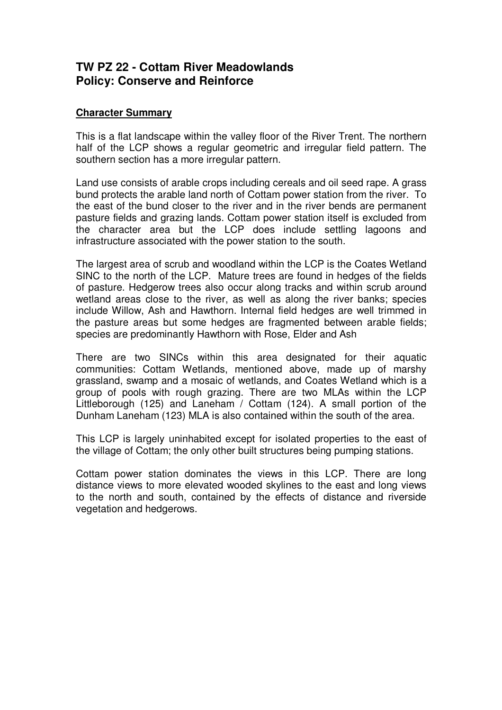## **TW PZ 22 - Cottam River Meadowlands Policy: Conserve and Reinforce**

## **Character Summary**

This is a flat landscape within the valley floor of the River Trent. The northern half of the LCP shows a regular geometric and irregular field pattern. The southern section has a more irregular pattern.

Land use consists of arable crops including cereals and oil seed rape. A grass bund protects the arable land north of Cottam power station from the river. To the east of the bund closer to the river and in the river bends are permanent pasture fields and grazing lands. Cottam power station itself is excluded from the character area but the LCP does include settling lagoons and infrastructure associated with the power station to the south.

The largest area of scrub and woodland within the LCP is the Coates Wetland SINC to the north of the LCP. Mature trees are found in hedges of the fields of pasture. Hedgerow trees also occur along tracks and within scrub around wetland areas close to the river, as well as along the river banks; species include Willow, Ash and Hawthorn. Internal field hedges are well trimmed in the pasture areas but some hedges are fragmented between arable fields; species are predominantly Hawthorn with Rose, Elder and Ash

There are two SINCs within this area designated for their aquatic communities: Cottam Wetlands, mentioned above, made up of marshy grassland, swamp and a mosaic of wetlands, and Coates Wetland which is a group of pools with rough grazing. There are two MLAs within the LCP Littleborough (125) and Laneham / Cottam (124). A small portion of the Dunham Laneham (123) MLA is also contained within the south of the area.

This LCP is largely uninhabited except for isolated properties to the east of the village of Cottam; the only other built structures being pumping stations.

Cottam power station dominates the views in this LCP. There are long distance views to more elevated wooded skylines to the east and long views to the north and south, contained by the effects of distance and riverside vegetation and hedgerows.